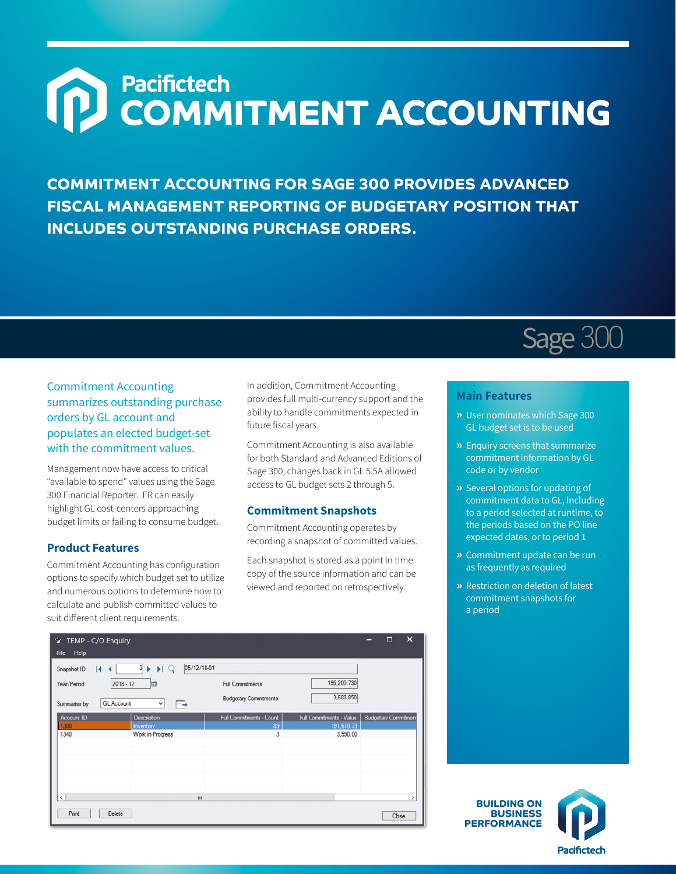# Pacifictech<br>COMMITMENT ACCOUNTING  $\Omega$

**COMMITMENT ACCOUNTING FOR SAGE 300 PROVIDES ADVANCED FISCAL MANAGEMENT REPORTING OF BUDGETARY POSITION THAT INCLUDES OUTSTANDING PURCHASE ORDERS.**

# Sage 300

Commitment Accounting summarizes outstanding purchase orders by GL account and populates an elected budget-set with the commitment values.

Management now have access to critical "available to spend" values using the Sage 300 Financial Reporter. FR can easily highlight GL cost-centers approaching budget limits or failing to consume budget.

### **Product Features**

Commitment Accounting has configuration options to specify which budget set to utilize and numerous options to determine how to calculate and publish committed values to suit different client requirements.

In addition, Commitment Accounting provides full multi-currency support and the ability to handle commitments expected in future fiscal years.

Commitment Accounting is also available for both Standard and Advanced Editions of Sage 300; changes back in GL 5.5A allowed access to GL budget sets 2 through 5.

#### **Commitment Snapshots**

Commitment Accounting operates by recording a snapshot of committed values.

Each snapshot is stored as a point in time copy of the source information and can be viewed and reported on retrospectively.

| $\vert$ 4<br>Snapshot ID<br>Year/Period<br>Summarise by | $\overline{3}$<br>HQ<br>٠<br>崗<br>$2018 - 12$<br>B<br><b>GL Account</b><br>٧ | <b>Full Commitments</b><br><b>Budgetary Commitments</b> | 195,200.730<br>3,688.850 |                             |
|---------------------------------------------------------|------------------------------------------------------------------------------|---------------------------------------------------------|--------------------------|-----------------------------|
| Account ID                                              | <b>Description</b>                                                           | Full Commitments - Count                                | Full Commitments - Value | <b>Budgetary Commitment</b> |
| 1300                                                    | <b>Inventory</b>                                                             | 89                                                      | 191,610.73               |                             |
| 1340                                                    | Work in Progress                                                             | 3                                                       | 3,590.00                 |                             |
| $\langle$                                               |                                                                              | Ш                                                       |                          |                             |

#### **Main Features**

- **»** User nominates which Sage 300 GL budget set is to be used
- **»** Enquiry screens that summarize commitment information by GL code or by vendor
- **»** Several options for updating of commitment data to GL, including to a period selected at runtime, to the periods based on the PO line expected dates, or to period 1
- **»** Commitment update can be run as frequently as required
- **»** Restriction on deletion of latest commitment snapshots for a period